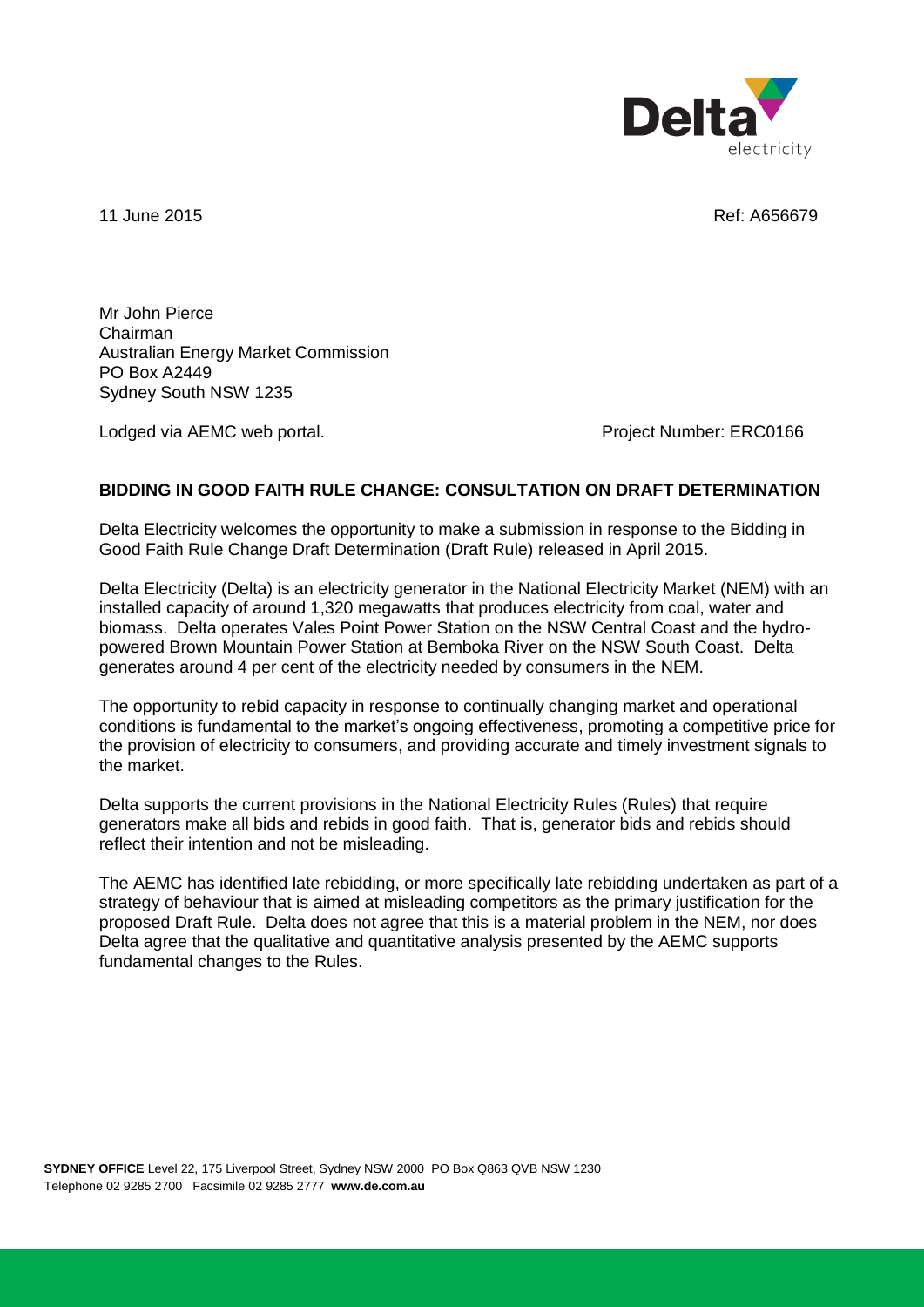

11 June 2015 **Ref: A656679** 

Mr John Pierce Chairman Australian Energy Market Commission PO Box A2449 Sydney South NSW 1235

Lodged via AEMC web portal. The state of the extended project Number: ERC0166

## **BIDDING IN GOOD FAITH RULE CHANGE: CONSULTATION ON DRAFT DETERMINATION**

Delta Electricity welcomes the opportunity to make a submission in response to the Bidding in Good Faith Rule Change Draft Determination (Draft Rule) released in April 2015.

Delta Electricity (Delta) is an electricity generator in the National Electricity Market (NEM) with an installed capacity of around 1,320 megawatts that produces electricity from coal, water and biomass. Delta operates Vales Point Power Station on the NSW Central Coast and the hydropowered Brown Mountain Power Station at Bemboka River on the NSW South Coast. Delta generates around 4 per cent of the electricity needed by consumers in the NEM.

The opportunity to rebid capacity in response to continually changing market and operational conditions is fundamental to the market's ongoing effectiveness, promoting a competitive price for the provision of electricity to consumers, and providing accurate and timely investment signals to the market.

Delta supports the current provisions in the National Electricity Rules (Rules) that require generators make all bids and rebids in good faith. That is, generator bids and rebids should reflect their intention and not be misleading.

The AEMC has identified late rebidding, or more specifically late rebidding undertaken as part of a strategy of behaviour that is aimed at misleading competitors as the primary justification for the proposed Draft Rule. Delta does not agree that this is a material problem in the NEM, nor does Delta agree that the qualitative and quantitative analysis presented by the AEMC supports fundamental changes to the Rules.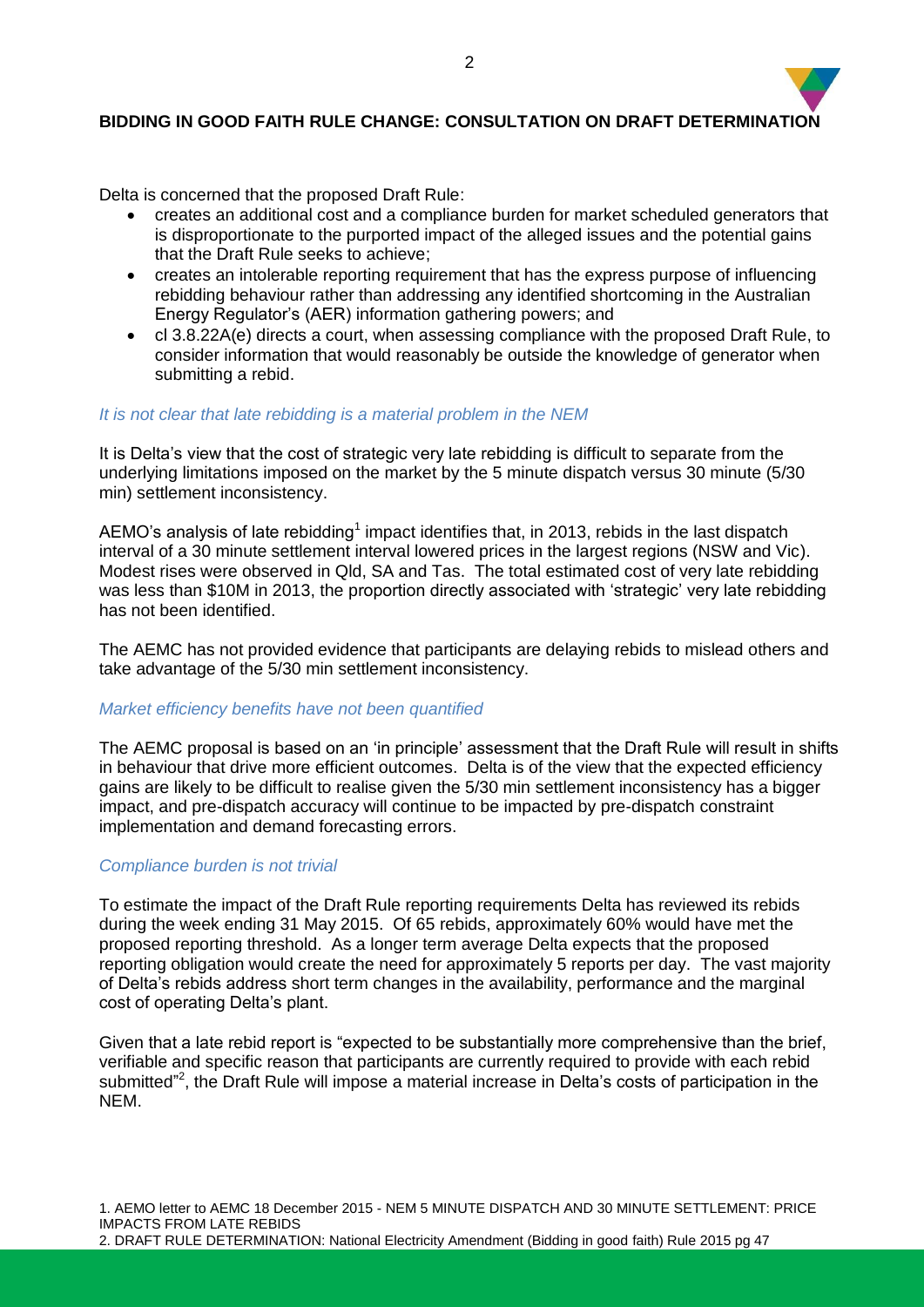# **BIDDING IN GOOD FAITH RULE CHANGE: CONSULTATION ON DRAFT DETERMINATION**

Delta is concerned that the proposed Draft Rule:

- creates an additional cost and a compliance burden for market scheduled generators that is disproportionate to the purported impact of the alleged issues and the potential gains that the Draft Rule seeks to achieve;
- creates an intolerable reporting requirement that has the express purpose of influencing rebidding behaviour rather than addressing any identified shortcoming in the Australian Energy Regulator's (AER) information gathering powers; and
- cl 3.8.22A(e) directs a court, when assessing compliance with the proposed Draft Rule, to consider information that would reasonably be outside the knowledge of generator when submitting a rebid.

## *It is not clear that late rebidding is a material problem in the NEM*

It is Delta's view that the cost of strategic very late rebidding is difficult to separate from the underlying limitations imposed on the market by the 5 minute dispatch versus 30 minute (5/30 min) settlement inconsistency.

AEMO's analysis of late rebidding<sup>1</sup> impact identifies that, in 2013, rebids in the last dispatch interval of a 30 minute settlement interval lowered prices in the largest regions (NSW and Vic). Modest rises were observed in Qld, SA and Tas. The total estimated cost of very late rebidding was less than \$10M in 2013, the proportion directly associated with 'strategic' very late rebidding has not been identified.

The AEMC has not provided evidence that participants are delaying rebids to mislead others and take advantage of the 5/30 min settlement inconsistency.

#### *Market efficiency benefits have not been quantified*

The AEMC proposal is based on an 'in principle' assessment that the Draft Rule will result in shifts in behaviour that drive more efficient outcomes. Delta is of the view that the expected efficiency gains are likely to be difficult to realise given the 5/30 min settlement inconsistency has a bigger impact, and pre-dispatch accuracy will continue to be impacted by pre-dispatch constraint implementation and demand forecasting errors.

#### *Compliance burden is not trivial*

To estimate the impact of the Draft Rule reporting requirements Delta has reviewed its rebids during the week ending 31 May 2015. Of 65 rebids, approximately 60% would have met the proposed reporting threshold. As a longer term average Delta expects that the proposed reporting obligation would create the need for approximately 5 reports per day. The vast majority of Delta's rebids address short term changes in the availability, performance and the marginal cost of operating Delta's plant.

Given that a late rebid report is "expected to be substantially more comprehensive than the brief, verifiable and specific reason that participants are currently required to provide with each rebid submitted"<sup>2</sup>, the Draft Rule will impose a material increase in Delta's costs of participation in the NEM.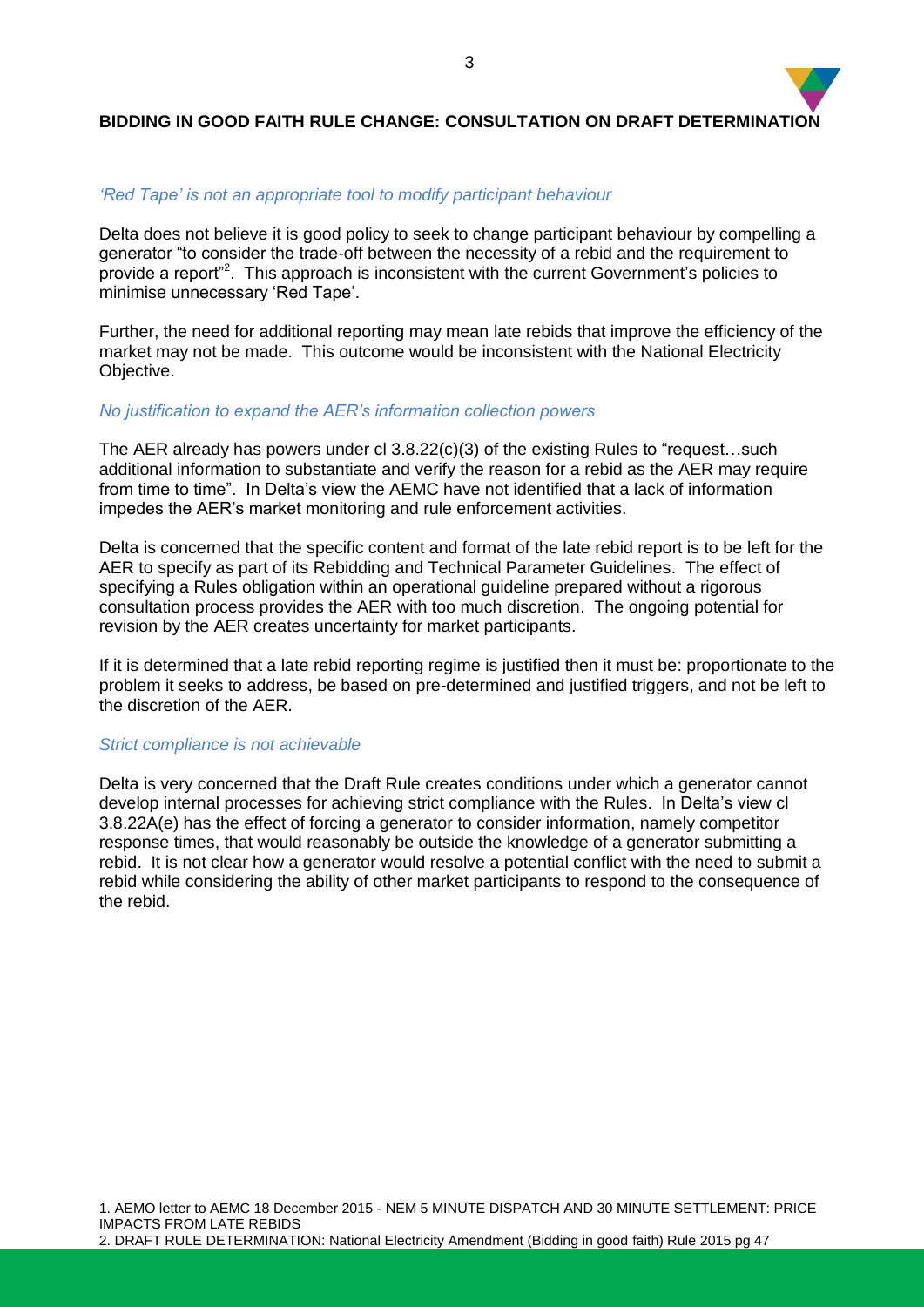# **BIDDING IN GOOD FAITH RULE CHANGE: CONSULTATION ON DRAFT DETERMINATION**

## *'Red Tape' is not an appropriate tool to modify participant behaviour*

Delta does not believe it is good policy to seek to change participant behaviour by compelling a generator "to consider the trade-off between the necessity of a rebid and the requirement to provide a report"<sup>2</sup>. This approach is inconsistent with the current Government's policies to minimise unnecessary 'Red Tape'.

Further, the need for additional reporting may mean late rebids that improve the efficiency of the market may not be made. This outcome would be inconsistent with the National Electricity Objective.

#### *No justification to expand the AER's information collection powers*

The AER already has powers under cl 3.8.22(c)(3) of the existing Rules to "request…such additional information to substantiate and verify the reason for a rebid as the AER may require from time to time". In Delta's view the AEMC have not identified that a lack of information impedes the AER's market monitoring and rule enforcement activities.

Delta is concerned that the specific content and format of the late rebid report is to be left for the AER to specify as part of its Rebidding and Technical Parameter Guidelines. The effect of specifying a Rules obligation within an operational guideline prepared without a rigorous consultation process provides the AER with too much discretion. The ongoing potential for revision by the AER creates uncertainty for market participants.

If it is determined that a late rebid reporting regime is justified then it must be: proportionate to the problem it seeks to address, be based on pre-determined and justified triggers, and not be left to the discretion of the AER.

#### *Strict compliance is not achievable*

Delta is very concerned that the Draft Rule creates conditions under which a generator cannot develop internal processes for achieving strict compliance with the Rules. In Delta's view cl 3.8.22A(e) has the effect of forcing a generator to consider information, namely competitor response times, that would reasonably be outside the knowledge of a generator submitting a rebid. It is not clear how a generator would resolve a potential conflict with the need to submit a rebid while considering the ability of other market participants to respond to the consequence of the rebid.